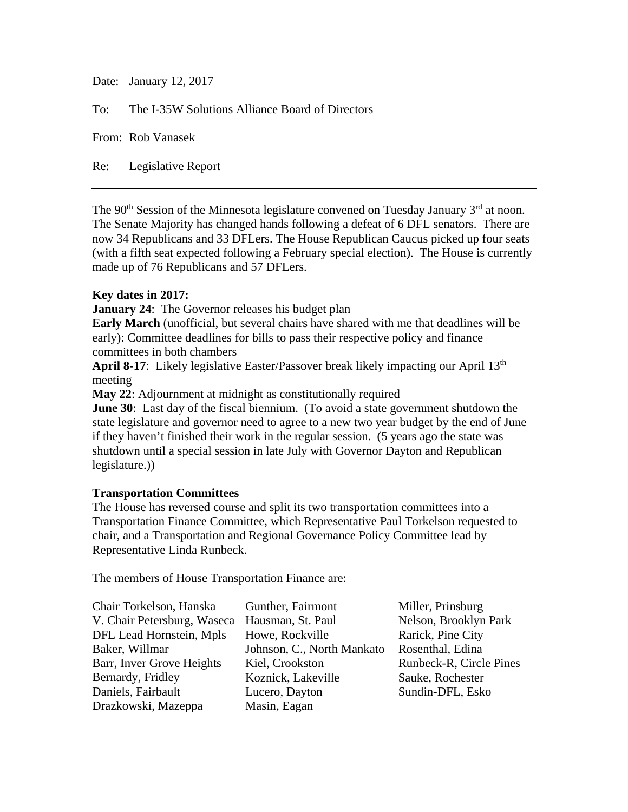Date: January 12, 2017

To: The I-35W Solutions Alliance Board of Directors

From: Rob Vanasek

Re: Legislative Report

The 90<sup>th</sup> Session of the Minnesota legislature convened on Tuesday January 3<sup>rd</sup> at noon. The Senate Majority has changed hands following a defeat of 6 DFL senators. There are now 34 Republicans and 33 DFLers. The House Republican Caucus picked up four seats (with a fifth seat expected following a February special election). The House is currently made up of 76 Republicans and 57 DFLers.

#### **Key dates in 2017:**

**January 24:** The Governor releases his budget plan

**Early March** (unofficial, but several chairs have shared with me that deadlines will be early): Committee deadlines for bills to pass their respective policy and finance committees in both chambers

**April 8-17**: Likely legislative Easter/Passover break likely impacting our April 13<sup>th</sup> meeting

**May 22**: Adjournment at midnight as constitutionally required

**June 30**: Last day of the fiscal biennium. (To avoid a state government shutdown the state legislature and governor need to agree to a new two year budget by the end of June if they haven't finished their work in the regular session. (5 years ago the state was shutdown until a special session in late July with Governor Dayton and Republican legislature.))

#### **Transportation Committees**

The House has reversed course and split its two transportation committees into a Transportation Finance Committee, which Representative Paul Torkelson requested to chair, and a Transportation and Regional Governance Policy Committee lead by Representative Linda Runbeck.

The members of House Transportation Finance are:

| Chair Torkelson, Hanska     | Gunther, Fairmont          | Miller, Prinsburg       |
|-----------------------------|----------------------------|-------------------------|
| V. Chair Petersburg, Waseca | Hausman, St. Paul          | Nelson, Brooklyn Park   |
| DFL Lead Hornstein, Mpls    | Howe, Rockville            | Rarick, Pine City       |
| Baker, Willmar              | Johnson, C., North Mankato | Rosenthal, Edina        |
| Barr, Inver Grove Heights   | Kiel, Crookston            | Runbeck-R, Circle Pines |
| Bernardy, Fridley           | Koznick, Lakeville         | Sauke, Rochester        |
| Daniels, Fairbault          | Lucero, Dayton             | Sundin-DFL, Esko        |
| Drazkowski, Mazeppa         | Masin, Eagan               |                         |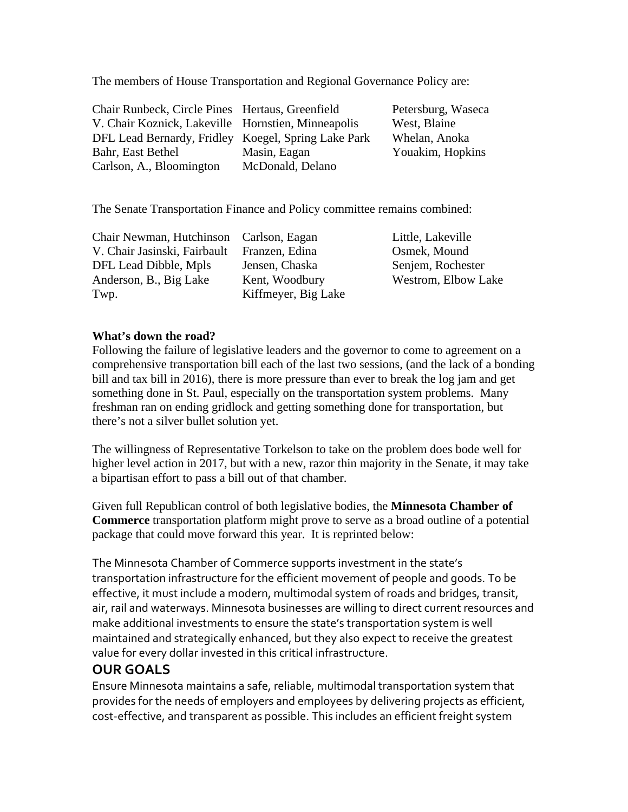The members of House Transportation and Regional Governance Policy are:

Chair Runbeck, Circle Pines Hertaus, Greenfield V. Chair Koznick, Lakeville Hornstien, Minneapolis DFL Lead Bernardy, Fridley Koegel, Spring Lake Park Bahr, East Bethel Carlson, A., Bloomington Masin, Eagan McDonald, Delano

Petersburg, Waseca West, Blaine Whelan, Anoka Youakim, Hopkins

The Senate Transportation Finance and Policy committee remains combined:

Chair Newman, Hutchinson V. Chair Jasinski, Fairbault DFL Lead Dibble, Mpls Anderson, B., Big Lake Twp.

Carlson, Eagan Franzen, Edina Jensen, Chaska Kent, Woodbury Kiffmeyer, Big Lake Little, Lakeville Osmek, Mound Senjem, Rochester Westrom, Elbow Lake

#### **What's down the road?**

Following the failure of legislative leaders and the governor to come to agreement on a comprehensive transportation bill each of the last two sessions, (and the lack of a bonding bill and tax bill in 2016), there is more pressure than ever to break the log jam and get something done in St. Paul, especially on the transportation system problems. Many freshman ran on ending gridlock and getting something done for transportation, but there's not a silver bullet solution yet.

The willingness of Representative Torkelson to take on the problem does bode well for higher level action in 2017, but with a new, razor thin majority in the Senate, it may take a bipartisan effort to pass a bill out of that chamber.

Given full Republican control of both legislative bodies, the **Minnesota Chamber of Commerce** transportation platform might prove to serve as a broad outline of a potential package that could move forward this year. It is reprinted below:

The Minnesota Chamber of Commerce supports investment in the state's transportation infrastructure for the efficient movement of people and goods. To be effective, it must include a modern, multimodal system of roads and bridges, transit, air, rail and waterways. Minnesota businesses are willing to direct current resources and make additional investments to ensure the state's transportation system is well maintained and strategically enhanced, but they also expect to receive the greatest value for every dollar invested in this critical infrastructure.

#### **OUR GOALS**

Ensure Minnesota maintains a safe, reliable, multimodal transportation system that provides for the needs of employers and employees by delivering projects as efficient, cost-effective, and transparent as possible. This includes an efficient freight system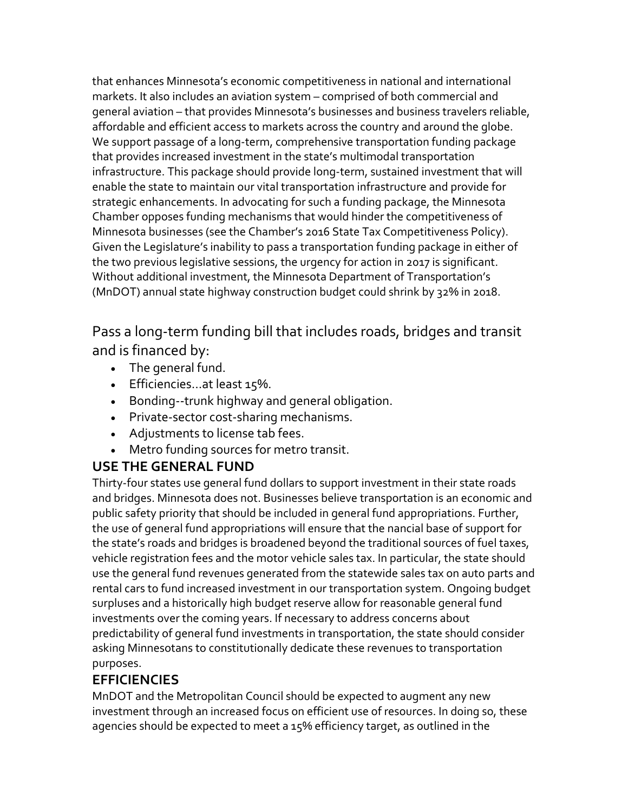that enhances Minnesota's economic competitiveness in national and international markets. It also includes an aviation system – comprised of both commercial and general aviation – that provides Minnesota's businesses and business travelers reliable, affordable and efficient access to markets across the country and around the globe. We support passage of a long-term, comprehensive transportation funding package that provides increased investment in the state's multimodal transportation infrastructure. This package should provide long‐term, sustained investment that will enable the state to maintain our vital transportation infrastructure and provide for strategic enhancements. In advocating for such a funding package, the Minnesota Chamber opposes funding mechanisms that would hinder the competitiveness of Minnesota businesses (see the Chamber's 2016 State Tax Competitiveness Policy). Given the Legislature's inability to pass a transportation funding package in either of the two previous legislative sessions, the urgency for action in 2017 is significant. Without additional investment, the Minnesota Department of Transportation's (MnDOT) annual state highway construction budget could shrink by 32% in 2018.

Pass a long‐term funding bill that includes roads, bridges and transit and is financed by:

- The general fund.
- Efficiencies...at least 15%.
- Bonding‐‐trunk highway and general obligation.
- Private‐sector cost‐sharing mechanisms.
- Adjustments to license tab fees.
- Metro funding sources for metro transit.

# **USE THE GENERAL FUND**

Thirty‐four states use general fund dollars to support investment in their state roads and bridges. Minnesota does not. Businesses believe transportation is an economic and public safety priority that should be included in general fund appropriations. Further, the use of general fund appropriations will ensure that the nancial base of support for the state's roads and bridges is broadened beyond the traditional sources of fuel taxes, vehicle registration fees and the motor vehicle sales tax. In particular, the state should use the general fund revenues generated from the statewide sales tax on auto parts and rental cars to fund increased investment in our transportation system. Ongoing budget surpluses and a historically high budget reserve allow for reasonable general fund investments over the coming years. If necessary to address concerns about predictability of general fund investments in transportation, the state should consider asking Minnesotans to constitutionally dedicate these revenues to transportation purposes.

# **EFFICIENCIES**

MnDOT and the Metropolitan Council should be expected to augment any new investment through an increased focus on efficient use of resources. In doing so, these agencies should be expected to meet a 15% efficiency target, as outlined in the